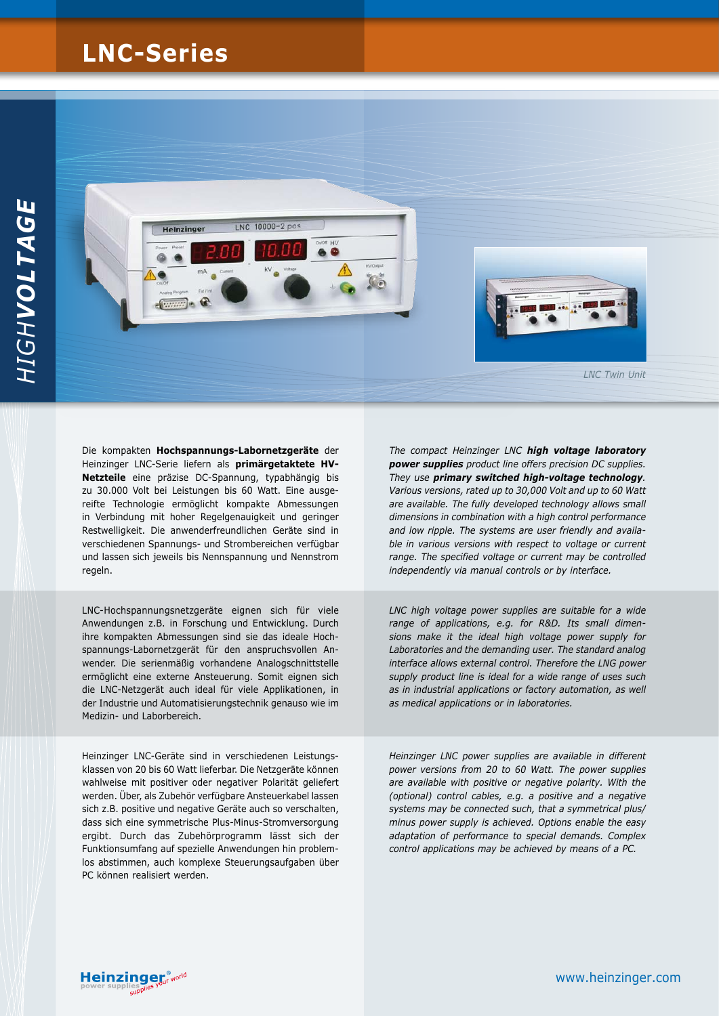## **LNC-Series**



Die kompakten **Hochspannungs-Labornetzgeräte** der Heinzinger LNC-Serie liefern als **primärgetaktete HV-Netzteile** eine präzise DC-Spannung, typabhängig bis zu 30.000 Volt bei Leistungen bis 60 Watt. Eine ausgereifte Technologie ermöglicht kompakte Abmessungen in Verbindung mit hoher Regelgenauigkeit und geringer Restwelligkeit. Die anwenderfreundlichen Geräte sind in verschiedenen Spannungs- und Strombereichen verfügbar und lassen sich jeweils bis Nennspannung und Nennstrom regeln.

LNC-Hochspannungsnetzgeräte eignen sich für viele Anwendungen z.B. in Forschung und Entwicklung. Durch ihre kompakten Abmessungen sind sie das ideale Hochspannungs-Labornetzgerät für den anspruchsvollen Anwender. Die serienmäßig vorhandene Analogschnittstelle ermöglicht eine externe Ansteuerung. Somit eignen sich die LNC-Netzgerät auch ideal für viele Applikationen, in der Industrie und Automatisierungstechnik genauso wie im Medizin- und Laborbereich.

Heinzinger LNC-Geräte sind in verschiedenen Leistungsklassen von 20 bis 60 Watt lieferbar. Die Netzgeräte können wahlweise mit positiver oder negativer Polarität geliefert werden. Über, als Zubehör verfügbare Ansteuerkabel lassen sich z.B. positive und negative Geräte auch so verschalten, dass sich eine symmetrische Plus-Minus-Stromversorgung ergibt. Durch das Zubehörprogramm lässt sich der Funktionsumfang auf spezielle Anwendungen hin problemlos abstimmen, auch komplexe Steuerungsaufgaben über PC können realisiert werden.

*The compact Heinzinger LNC high voltage laboratory power supplies product line offers precision DC supplies. They use primary switched high-voltage technology. Various versions, rated up to 30,000 Volt and up to 60 Watt are available. The fully developed technology allows small dimensions in combination with a high control performance and low ripple. The systems are user friendly and available in various versions with respect to voltage or current range. The specified voltage or current may be controlled independently via manual controls or by interface.* 

*LNC high voltage power supplies are suitable for a wide range of applications, e.g. for R&D. Its small dimensions make it the ideal high voltage power supply for Laboratories and the demanding user. The standard analog interface allows external control. Therefore the LNG power supply product line is ideal for a wide range of uses such as in industrial applications or factory automation, as well as medical applications or in laboratories.*

*Heinzinger LNC power supplies are available in different power versions from 20 to 60 Watt. The power supplies are available with positive or negative polarity. With the (optional) control cables, e.g. a positive and a negative systems may be connected such, that a symmetrical plus/ minus power supply is achieved. Options enable the easy adaptation of performance to special demands. Complex control applications may be achieved by means of a PC.*

**Heinzinger**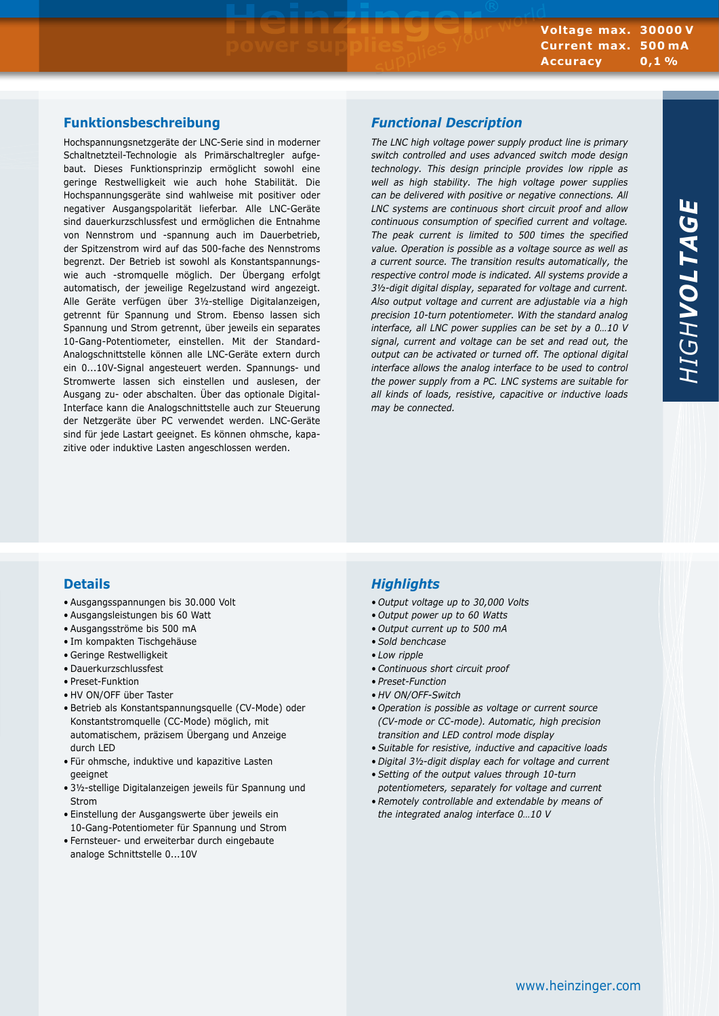## **Funktionsbeschreibung**

Hochspannungsnetzgeräte der LNC-Serie sind in moderner Schaltnetzteil-Technologie als Primärschaltregler aufgebaut. Dieses Funktionsprinzip ermöglicht sowohl eine geringe Restwelligkeit wie auch hohe Stabilität. Die Hochspannungsgeräte sind wahlweise mit positiver oder negativer Ausgangspolarität lieferbar. Alle LNC-Geräte sind dauerkurzschlussfest und ermöglichen die Entnahme von Nennstrom und -spannung auch im Dauerbetrieb, der Spitzenstrom wird auf das 500-fache des Nennstroms begrenzt. Der Betrieb ist sowohl als Konstantspannungswie auch -stromquelle möglich. Der Übergang erfolgt automatisch, der jeweilige Regelzustand wird angezeigt. Alle Geräte verfügen über 3½-stellige Digitalanzeigen, getrennt für Spannung und Strom. Ebenso lassen sich Spannung und Strom getrennt, über jeweils ein separates 10-Gang-Potentiometer, einstellen. Mit der Standard-Analogschnittstelle können alle LNC-Geräte extern durch ein 0...10V-Signal angesteuert werden. Spannungs- und Stromwerte lassen sich einstellen und auslesen, der Ausgang zu- oder abschalten. Über das optionale Digital-Interface kann die Analogschnittstelle auch zur Steuerung der Netzgeräte über PC verwendet werden. LNC-Geräte sind für jede Lastart geeignet. Es können ohmsche, kapazitive oder induktive Lasten angeschlossen werden.

### *Functional Description*

*The LNC high voltage power supply product line is primary switch controlled and uses advanced switch mode design technology. This design principle provides low ripple as well as high stability. The high voltage power supplies can be delivered with positive or negative connections. All LNC systems are continuous short circuit proof and allow continuous consumption of specified current and voltage. The peak current is limited to 500 times the specified value. Operation is possible as a voltage source as well as a current source. The transition results automatically, the respective control mode is indicated. All systems provide a 3½-digit digital display, separated for voltage and current. Also output voltage and current are adjustable via a high precision 10-turn potentiometer. With the standard analog interface, all LNC power supplies can be set by a 0…10 V signal, current and voltage can be set and read out, the output can be activated or turned off. The optional digital interface allows the analog interface to be used to control the power supply from a PC. LNC systems are suitable for all kinds of loads, resistive, capacitive or inductive loads may be connected.*

## **Details**

- • Ausgangsspannungen bis 30.000 Volt
- Ausgangsleistungen bis 60 Watt
- • Ausgangsströme bis 500 mA
- • Im kompakten Tischgehäuse
- • Geringe Restwelligkeit
- • Dauerkurzschlussfest
- Preset-Funktion
- • HV ON/OFF über Taster
- • Betrieb als Konstantspannungsquelle (CV-Mode) oder Konstantstromquelle (CC-Mode) möglich, mit automatischem, präzisem Übergang und Anzeige durch LED
- • Für ohmsche, induktive und kapazitive Lasten geeignet
- • 3½-stellige Digitalanzeigen jeweils für Spannung und Strom
- • Einstellung der Ausgangswerte über jeweils ein 10-Gang-Potentiometer für Spannung und Strom
- • Fernsteuer- und erweiterbar durch eingebaute analoge Schnittstelle 0...10V

## *Highlights*

- *• Output voltage up to 30,000 Volts*
- *• Output power up to 60 Watts*
- *• Output current up to 500 mA*
- *• Sold benchcase*
- *• Low ripple*
- *• Continuous short circuit proof*
- *• Preset-Function*
- *• HV ON/OFF-Switch*
- *• Operation is possible as voltage or current source (CV-mode or CC-mode). Automatic, high precision transition and LED control mode display*
- *• Suitable for resistive, inductive and capacitive loads*
- *• Digital 3½-digit display each for voltage and current*
- *• Setting of the output values through 10-turn potentiometers, separately for voltage and current*
- *• Remotely controllable and extendable by means of the integrated analog interface 0…10 V*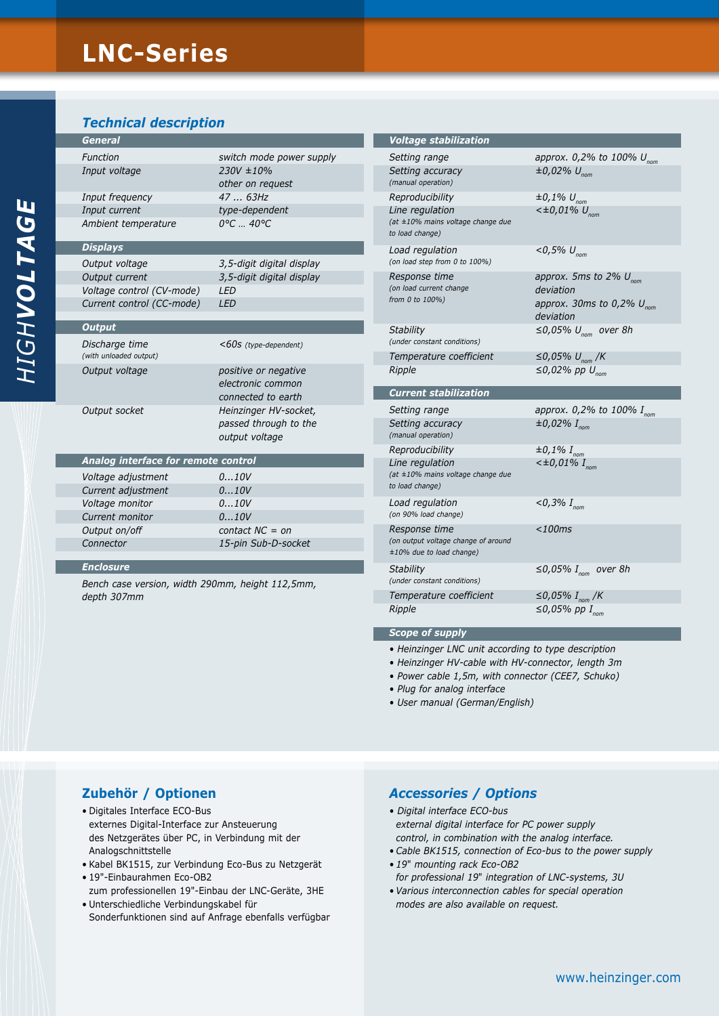# **LNC-Series**

*Technical description*

| <b>General</b>      |                             |
|---------------------|-----------------------------|
| Function            | switch mode power supply    |
| Input voltage       | $230V \pm 10\%$             |
|                     | other on request            |
| Input frequency     | 4763Hz                      |
| Input current       | type-dependent              |
| Ambient temperature | $0^{\circ}C$ 40 $^{\circ}C$ |
| <b>Displays</b>     |                             |
| Output voltage      | 3 5-digit digital display   |

*Output voltage 3,5-digit digital display Output current 3,5-digit digital display Voltage control (CV-mode) LED Current control (CC-mode) LED*

| $<$ 60s (type-dependent)                                         |
|------------------------------------------------------------------|
| positive or negative<br>electronic common<br>connected to earth  |
| Heinzinger HV-socket,<br>passed through to the<br>output voltage |
|                                                                  |

| Analog interface for remote control |                     |
|-------------------------------------|---------------------|
| Voltage adjustment                  | 010V                |
| Current adjustment                  | 010V                |
| Voltage monitor                     | 010V                |
| Current monitor                     | 010V                |
| Output on/off                       | contact $NC = on$   |
| Connector                           | 15-pin Sub-D-socket |
|                                     |                     |

#### *Enclosure*

*Bench case version, width 290mm, height 112,5mm, depth 307mm*

| <b>Voltage stabilization</b>                                                               |                                                                                                       |
|--------------------------------------------------------------------------------------------|-------------------------------------------------------------------------------------------------------|
| Setting range<br>Setting accuracy<br>(manual operation)                                    | approx. 0,2% to 100% $U_{\text{nom}}$<br>$\pm 0.02\% \ U_{\text{nom}}$                                |
| Reproducibility<br>Line regulation<br>(at ±10% mains voltage change due<br>to load change) | $\pm 0.1\% \ U_{\text{nom}}$<br>$<\pm 0.01\%$ U <sub>nom</sub>                                        |
| Load regulation<br>(on load step from 0 to 100%)                                           | $<$ 0,5% $U_{\text{nom}}$                                                                             |
| Response time<br>(on load current change<br>from 0 to 100%)                                | approx. 5ms to 2% $U_{\text{nom}}$<br>deviation<br>approx. 30ms to 0,2% $U_{\text{nom}}$<br>deviation |
| Stability<br>(under constant conditions)                                                   | $\leq$ 0,05% U <sub>nom</sub> over 8h                                                                 |
| Temperature coefficient<br>Ripple                                                          | ≤0,05% $U_{\text{nom}}$ /K<br>$\leq$ 0,02% pp $U_{\text{nom}}$                                        |
| <b>Current stabilization</b>                                                               |                                                                                                       |
| Setting range<br>Setting accuracy<br>(manual operation)                                    | approx. 0,2% to 100% $I_{\text{nom}}$<br>$\pm 0.02\%$ I <sub>nom</sub>                                |
| Reproducibility                                                                            | $\pm 0.1\%$ I <sub>nom</sub>                                                                          |
| Line regulation<br>(at ±10% mains voltage change due<br>to load change)                    | $<\pm 0.01\%$ I <sub>nom</sub>                                                                        |
| Load regulation<br>(on 90% load change)                                                    | $<$ 0,3% I <sub>nom</sub>                                                                             |
| <i>Response time</i><br>(on output voltage change of around<br>±10% due to load change)    | $<$ 100 $ms$                                                                                          |
| <b>Stability</b><br>(under constant conditions)                                            | $\leq$ 0,05% I <sub>nom</sub> over 8h                                                                 |
| Temperature coefficient                                                                    | ≤0,05% $I_{nom}$ /K                                                                                   |
| Ripple                                                                                     | $\leq$ 0,05% pp I <sub>nom</sub>                                                                      |

#### *Scope of supply*

- *Heinzinger LNC unit according to type description*
- *Heinzinger HV-cable with HV-connector, length 3m*
- *Power cable 1,5m, with connector (CEE7, Schuko)*
- *Plug for analog interface*
- *User manual (German/English)*

## **Zubehör / Optionen**

- • Digitales Interface ECO-Bus externes Digital-Interface zur Ansteuerung des Netzgerätes über PC, in Verbindung mit der Analogschnittstelle
- • Kabel BK1515, zur Verbindung Eco-Bus zu Netzgerät
- • 19"-Einbaurahmen Eco-OB2
- zum professionellen 19"-Einbau der LNC-Geräte, 3HE • Unterschiedliche Verbindungskabel für
- Sonderfunktionen sind auf Anfrage ebenfalls verfügbar

#### *Accessories / Options*

- *Digital interface ECO-bus external digital interface for PC power supply control, in combination with the analog interface.*
- *• Cable BK1515, connection of Eco-bus to the power supply*
- *• 19*" *mounting rack Eco-OB2*
- *for professional 19*" *integration of LNC-systems, 3U*
- *• Various interconnection cables for special operation modes are also available on request.*